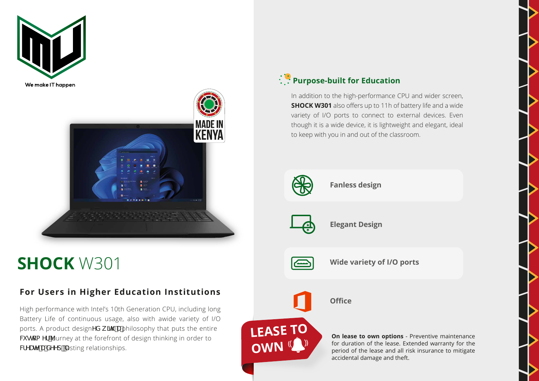



## **SHOCK** W301

## **For Users in Higher Education Institutions**

High performance with Intel's 10th Generation CPU, including long Battery Life of continuous usage, also with awide variety of I/O ports. A product designYX k ]h U philosophy that puts the entire W gha Yf 'burney at the forefront of design thinking in order to WYUhY U XYYdž'asting relationships.

## **Purpose-built for Education**

In addition to the high-performance CPU and wider screen, **SHOCK W301** also offers up to 11h of battery life and a wide variety of I/O ports to connect to external devices. Even though it is a wide device, it is lightweight and elegant, ideal to keep with you in and out of the classroom.



**Fanless design**

**Elegant Design**



**LEASE TO** 

**OWN** (

**Wide variety of I/O ports**



**On lease to own options** - Preventive maintenance for duration of the lease. Extended warranty for the period of the lease and all risk insurance to mitigate accidental damage and theft.